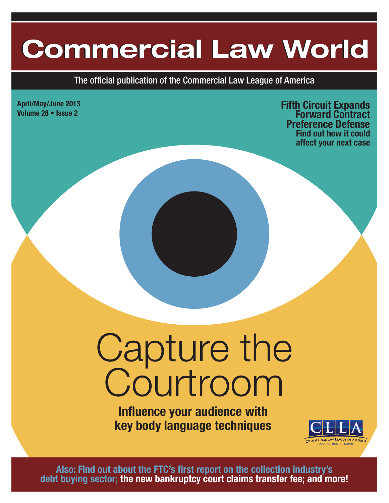# **Commercial Law World Commercial Law World**

The official publication of the Commercial Law League of America

**April/May/June 2013**

**Volume 28 • Issue 2 Fifth Circuit Expands Forward Contract Preference Defense Find out how it could affect your next case**

# Capture the Courtroom

**Influence your audience with key body language techniques**



**Also: Find out about the FTC's first report on the collection industry's debt buying sector; the new bankruptcy court claims transfer fee; and more!**